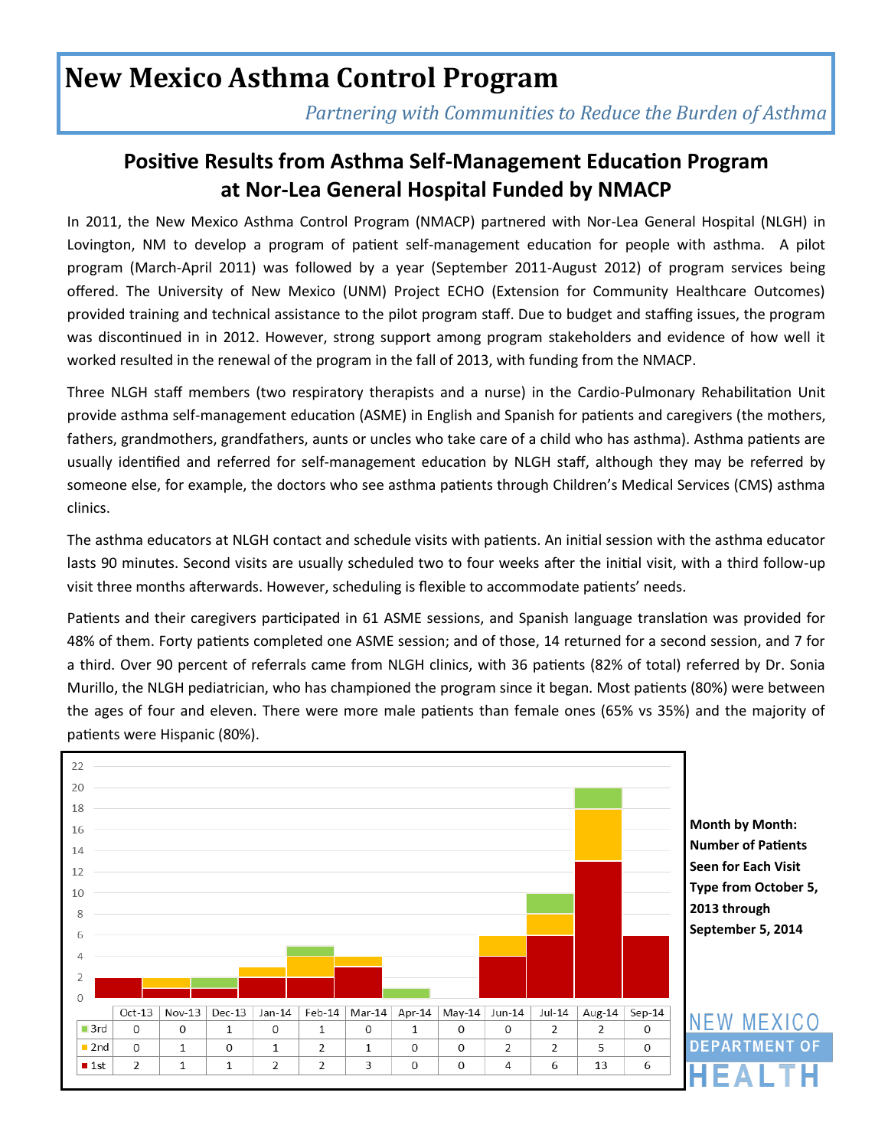# **New Mexico Asthma Control Program**

*Partnering with Communities to Reduce the Burden of Asthma* 

### **Positive Results from Asthma Self-Management Education Program at Nor-Lea General Hospital Funded by NMACP**

In 2011, the New Mexico Asthma Control Program (NMACP) partnered with Nor-Lea General Hospital (NLGH) in Lovington, NM to develop a program of patient self-management education for people with asthma. A pilot program (March-April 2011) was followed by a year (September 2011-August 2012) of program services being offered. The University of New Mexico (UNM) Project ECHO (Extension for Community Healthcare Outcomes) provided training and technical assistance to the pilot program staff. Due to budget and staffing issues, the program was discontinued in in 2012. However, strong support among program stakeholders and evidence of how well it worked resulted in the renewal of the program in the fall of 2013, with funding from the NMACP.

Three NLGH staff members (two respiratory therapists and a nurse) in the Cardio-Pulmonary Rehabilitation Unit provide asthma self-management education (ASME) in English and Spanish for patients and caregivers (the mothers, fathers, grandmothers, grandfathers, aunts or uncles who take care of a child who has asthma). Asthma patients are usually identified and referred for self-management education by NLGH staff, although they may be referred by someone else, for example, the doctors who see asthma patients through Children's Medical Services (CMS) asthma clinics.

The asthma educators at NLGH contact and schedule visits with patients. An initial session with the asthma educator lasts 90 minutes. Second visits are usually scheduled two to four weeks after the initial visit, with a third follow-up visit three months afterwards. However, scheduling is flexible to accommodate patients' needs.

Patients and their caregivers participated in 61 ASME sessions, and Spanish language translation was provided for 48% of them. Forty patients completed one ASME session; and of those, 14 returned for a second session, and 7 for a third. Over 90 percent of referrals came from NLGH clinics, with 36 patients (82% of total) referred by Dr. Sonia Murillo, the NLGH pediatrician, who has championed the program since it began. Most patients (80%) were between the ages of four and eleven. There were more male patients than female ones (65% vs 35%) and the majority of patients were Hispanic (80%).



**Month by Month: Number of Patients Seen for Each Visit Type from October 5, 2013 through September 5, 2014**

**NEW MEXICO DEPARTMENT**